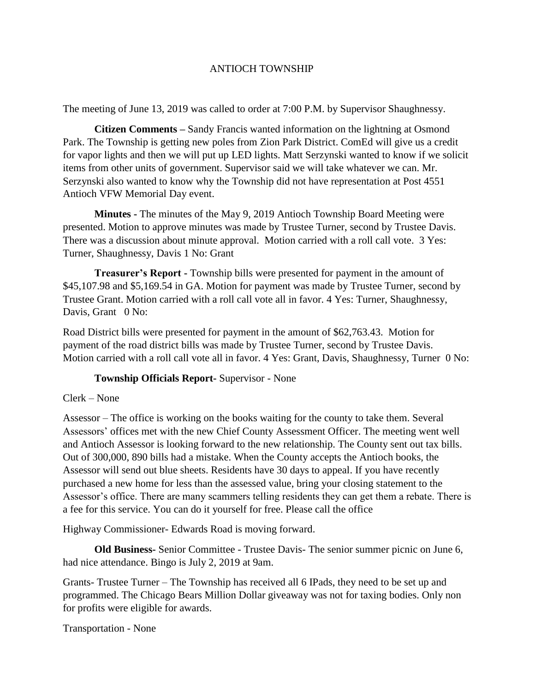## ANTIOCH TOWNSHIP

The meeting of June 13, 2019 was called to order at 7:00 P.M. by Supervisor Shaughnessy.

**Citizen Comments –** Sandy Francis wanted information on the lightning at Osmond Park. The Township is getting new poles from Zion Park District. ComEd will give us a credit for vapor lights and then we will put up LED lights. Matt Serzynski wanted to know if we solicit items from other units of government. Supervisor said we will take whatever we can. Mr. Serzynski also wanted to know why the Township did not have representation at Post 4551 Antioch VFW Memorial Day event.

**Minutes -** The minutes of the May 9, 2019 Antioch Township Board Meeting were presented. Motion to approve minutes was made by Trustee Turner, second by Trustee Davis. There was a discussion about minute approval. Motion carried with a roll call vote. 3 Yes: Turner, Shaughnessy, Davis 1 No: Grant

**Treasurer's Report -** Township bills were presented for payment in the amount of \$45,107.98 and \$5,169.54 in GA. Motion for payment was made by Trustee Turner, second by Trustee Grant. Motion carried with a roll call vote all in favor. 4 Yes: Turner, Shaughnessy, Davis, Grant 0 No:

Road District bills were presented for payment in the amount of \$62,763.43. Motion for payment of the road district bills was made by Trustee Turner, second by Trustee Davis. Motion carried with a roll call vote all in favor. 4 Yes: Grant, Davis, Shaughnessy, Turner 0 No:

## **Township Officials Report-** Supervisor - None

## Clerk – None

Assessor – The office is working on the books waiting for the county to take them. Several Assessors' offices met with the new Chief County Assessment Officer. The meeting went well and Antioch Assessor is looking forward to the new relationship. The County sent out tax bills. Out of 300,000, 890 bills had a mistake. When the County accepts the Antioch books, the Assessor will send out blue sheets. Residents have 30 days to appeal. If you have recently purchased a new home for less than the assessed value, bring your closing statement to the Assessor's office. There are many scammers telling residents they can get them a rebate. There is a fee for this service. You can do it yourself for free. Please call the office

Highway Commissioner- Edwards Road is moving forward.

**Old Business-** Senior Committee - Trustee Davis- The senior summer picnic on June 6, had nice attendance. Bingo is July 2, 2019 at 9am.

Grants- Trustee Turner – The Township has received all 6 IPads, they need to be set up and programmed. The Chicago Bears Million Dollar giveaway was not for taxing bodies. Only non for profits were eligible for awards.

Transportation - None